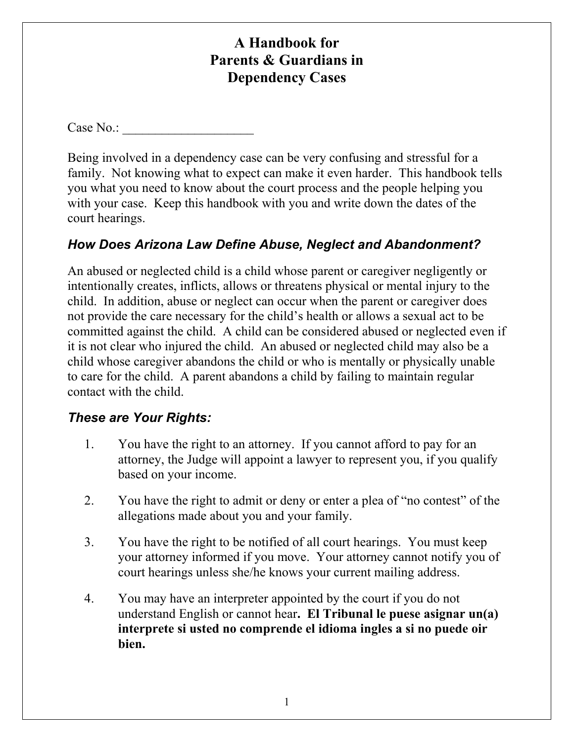# **A Handbook for Parents & Guardians in Dependency Cases**

Case No.:

Being involved in a dependency case can be very confusing and stressful for a family. Not knowing what to expect can make it even harder. This handbook tells you what you need to know about the court process and the people helping you with your case. Keep this handbook with you and write down the dates of the court hearings.

## *How Does Arizona Law Define Abuse, Neglect and Abandonment?*

An abused or neglected child is a child whose parent or caregiver negligently or intentionally creates, inflicts, allows or threatens physical or mental injury to the child. In addition, abuse or neglect can occur when the parent or caregiver does not provide the care necessary for the child's health or allows a sexual act to be committed against the child. A child can be considered abused or neglected even if it is not clear who injured the child. An abused or neglected child may also be a child whose caregiver abandons the child or who is mentally or physically unable to care for the child. A parent abandons a child by failing to maintain regular contact with the child.

## *These are Your Rights:*

- 1. You have the right to an attorney. If you cannot afford to pay for an attorney, the Judge will appoint a lawyer to represent you, if you qualify based on your income.
- 2. You have the right to admit or deny or enter a plea of "no contest" of the allegations made about you and your family.
- 3. You have the right to be notified of all court hearings. You must keep your attorney informed if you move. Your attorney cannot notify you of court hearings unless she/he knows your current mailing address.
- 4. You may have an interpreter appointed by the court if you do not understand English or cannot hear**. El Tribunal le puese asignar un(a) interprete si usted no comprende el idioma ingles a si no puede oir bien.**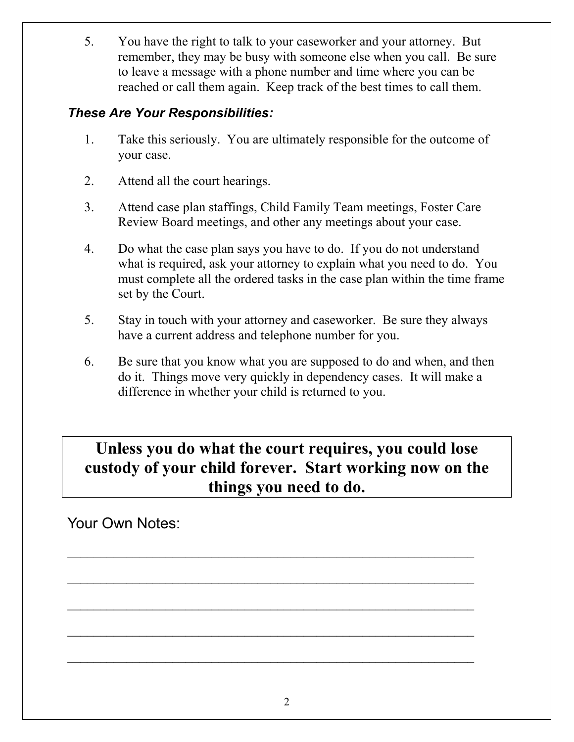5. You have the right to talk to your caseworker and your attorney. But remember, they may be busy with someone else when you call. Be sure to leave a message with a phone number and time where you can be reached or call them again. Keep track of the best times to call them.

## *These Are Your Responsibilities:*

- 1. Take this seriously. You are ultimately responsible for the outcome of your case.
- 2. Attend all the court hearings.
- 3. Attend case plan staffings, Child Family Team meetings, Foster Care Review Board meetings, and other any meetings about your case.
- 4. Do what the case plan says you have to do. If you do not understand what is required, ask your attorney to explain what you need to do. You must complete all the ordered tasks in the case plan within the time frame set by the Court.
- 5. Stay in touch with your attorney and caseworker. Be sure they always have a current address and telephone number for you.
- 6. Be sure that you know what you are supposed to do and when, and then do it. Things move very quickly in dependency cases. It will make a difference in whether your child is returned to you.

# **Unless you do what the court requires, you could lose custody of your child forever. Start working now on the things you need to do.**

 $\mathcal{L}_\text{max} = \frac{1}{2} \sum_{i=1}^n \mathcal{L}_\text{max}(\mathbf{z}_i - \mathbf{z}_i)$ 

 $\mathcal{L}_\text{max}$  , and the contract of the contract of the contract of the contract of the contract of the contract of the contract of the contract of the contract of the contract of the contract of the contract of the contr

Your Own Notes: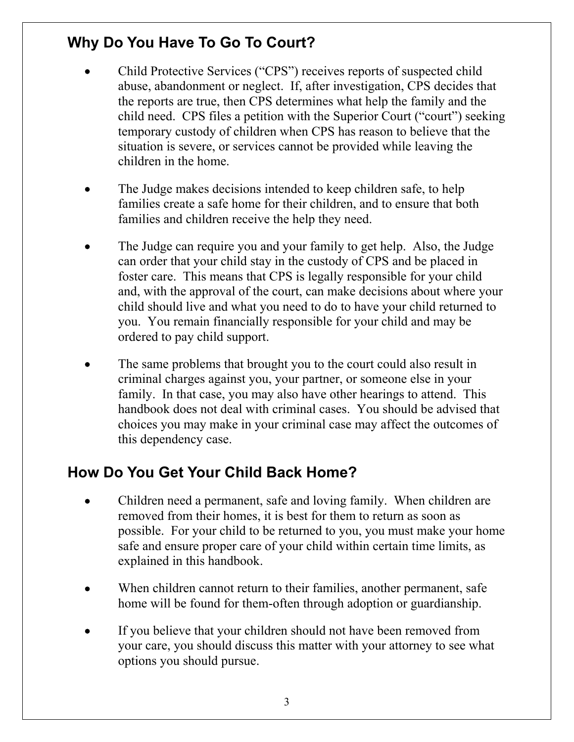# **Why Do You Have To Go To Court?**

- Child Protective Services ("CPS") receives reports of suspected child abuse, abandonment or neglect. If, after investigation, CPS decides that the reports are true, then CPS determines what help the family and the child need. CPS files a petition with the Superior Court ("court") seeking temporary custody of children when CPS has reason to believe that the situation is severe, or services cannot be provided while leaving the children in the home.
- The Judge makes decisions intended to keep children safe, to help families create a safe home for their children, and to ensure that both families and children receive the help they need.
- The Judge can require you and your family to get help. Also, the Judge can order that your child stay in the custody of CPS and be placed in foster care. This means that CPS is legally responsible for your child and, with the approval of the court, can make decisions about where your child should live and what you need to do to have your child returned to you. You remain financially responsible for your child and may be ordered to pay child support.
- The same problems that brought you to the court could also result in criminal charges against you, your partner, or someone else in your family. In that case, you may also have other hearings to attend. This handbook does not deal with criminal cases. You should be advised that choices you may make in your criminal case may affect the outcomes of this dependency case.

# **How Do You Get Your Child Back Home?**

- Children need a permanent, safe and loving family. When children are removed from their homes, it is best for them to return as soon as possible. For your child to be returned to you, you must make your home safe and ensure proper care of your child within certain time limits, as explained in this handbook.
- When children cannot return to their families, another permanent, safe home will be found for them-often through adoption or guardianship.
- If you believe that your children should not have been removed from your care, you should discuss this matter with your attorney to see what options you should pursue.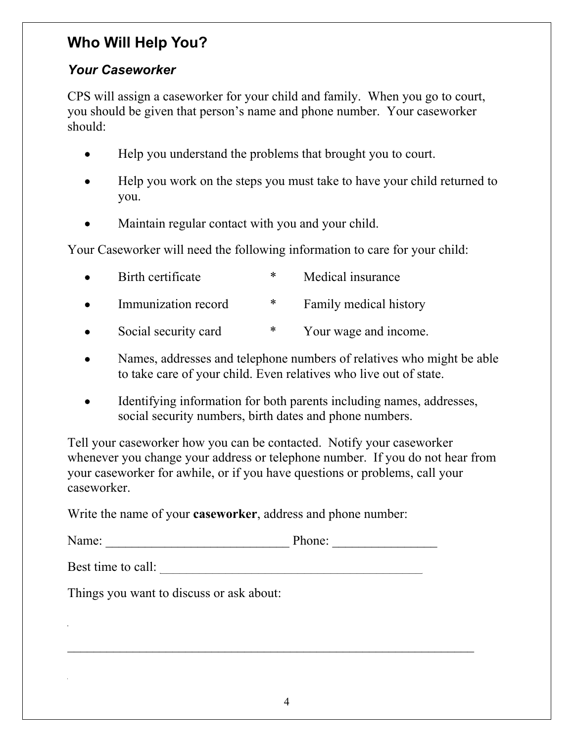# **Who Will Help You?**

## *Your Caseworker*

CPS will assign a caseworker for your child and family. When you go to court, you should be given that person's name and phone number. Your caseworker should:

- Help you understand the problems that brought you to court.
- Help you work on the steps you must take to have your child returned to you.
- Maintain regular contact with you and your child.

Your Caseworker will need the following information to care for your child:

| $\bullet$ | Birth certificate    | ∗ | Medical insurance      |
|-----------|----------------------|---|------------------------|
| $\bullet$ | Immunization record  | ∗ | Family medical history |
|           | Social security card | ∗ | Your wage and income.  |

- Names, addresses and telephone numbers of relatives who might be able to take care of your child. Even relatives who live out of state.
- Identifying information for both parents including names, addresses, social security numbers, birth dates and phone numbers.

Tell your caseworker how you can be contacted. Notify your caseworker whenever you change your address or telephone number. If you do not hear from your caseworker for awhile, or if you have questions or problems, call your caseworker.

Write the name of your **caseworker**, address and phone number:

Name: Phone:

Best time to call:

Things you want to discuss or ask about:

 $\_$  , and the contribution of the contribution of  $\mathcal{L}_\mathcal{A}$  , and the contribution of  $\mathcal{L}_\mathcal{A}$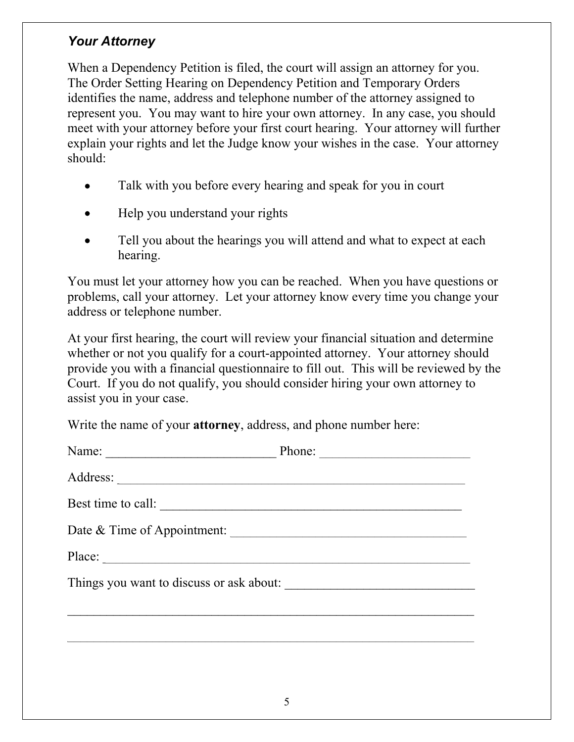## *Your Attorney*

When a Dependency Petition is filed, the court will assign an attorney for you. The Order Setting Hearing on Dependency Petition and Temporary Orders identifies the name, address and telephone number of the attorney assigned to represent you. You may want to hire your own attorney. In any case, you should meet with your attorney before your first court hearing. Your attorney will further explain your rights and let the Judge know your wishes in the case. Your attorney should:

- Talk with you before every hearing and speak for you in court
- Help you understand your rights
- Tell you about the hearings you will attend and what to expect at each hearing.

You must let your attorney how you can be reached. When you have questions or problems, call your attorney. Let your attorney know every time you change your address or telephone number.

At your first hearing, the court will review your financial situation and determine whether or not you qualify for a court-appointed attorney. Your attorney should provide you with a financial questionnaire to fill out. This will be reviewed by the Court. If you do not qualify, you should consider hiring your own attorney to assist you in your case.

Write the name of your **attorney**, address, and phone number here:

|                                          | Phone: |  |  |  |
|------------------------------------------|--------|--|--|--|
|                                          |        |  |  |  |
| Best time to call:                       |        |  |  |  |
| Date & Time of Appointment:              |        |  |  |  |
| Place:                                   |        |  |  |  |
| Things you want to discuss or ask about: |        |  |  |  |
|                                          |        |  |  |  |
|                                          |        |  |  |  |
|                                          |        |  |  |  |
|                                          |        |  |  |  |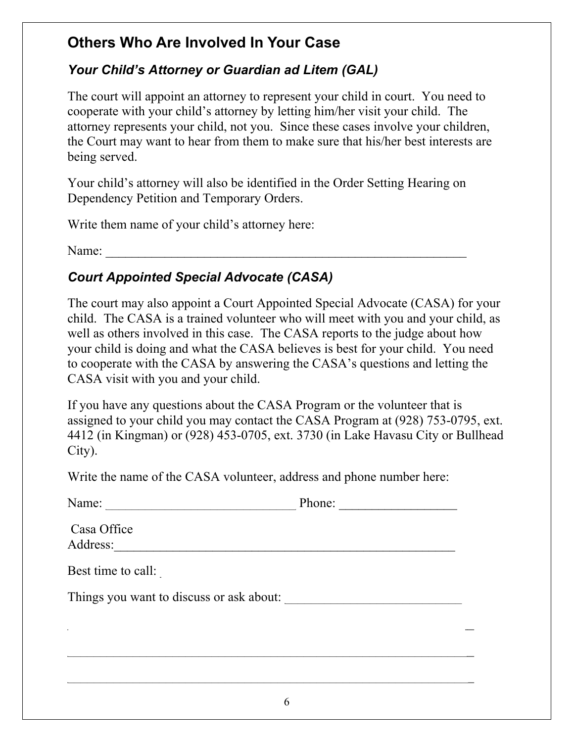# **Others Who Are Involved In Your Case**

## *Your Child's Attorney or Guardian ad Litem (GAL)*

The court will appoint an attorney to represent your child in court. You need to cooperate with your child's attorney by letting him/her visit your child. The attorney represents your child, not you. Since these cases involve your children, the Court may want to hear from them to make sure that his/her best interests are being served.

Your child's attorney will also be identified in the Order Setting Hearing on Dependency Petition and Temporary Orders.

Write them name of your child's attorney here:

Name:

# *Court Appointed Special Advocate (CASA)*

The court may also appoint a Court Appointed Special Advocate (CASA) for your child. The CASA is a trained volunteer who will meet with you and your child, as well as others involved in this case. The CASA reports to the judge about how your child is doing and what the CASA believes is best for your child. You need to cooperate with the CASA by answering the CASA's questions and letting the CASA visit with you and your child.

If you have any questions about the CASA Program or the volunteer that is assigned to your child you may contact the CASA Program at (928) 753-0795, ext. 4412 (in Kingman) or (928) 453-0705, ext. 3730 (in Lake Havasu City or Bullhead City).

Write the name of the CASA volunteer, address and phone number here:

| Name:                                    | Phone:<br><u> 1980 - Jan Stein Berlin, amerikansk politiker (</u> |
|------------------------------------------|-------------------------------------------------------------------|
| Casa Office<br>Address:                  |                                                                   |
| Best time to call:                       |                                                                   |
| Things you want to discuss or ask about: |                                                                   |
|                                          |                                                                   |
|                                          |                                                                   |
|                                          |                                                                   |
|                                          |                                                                   |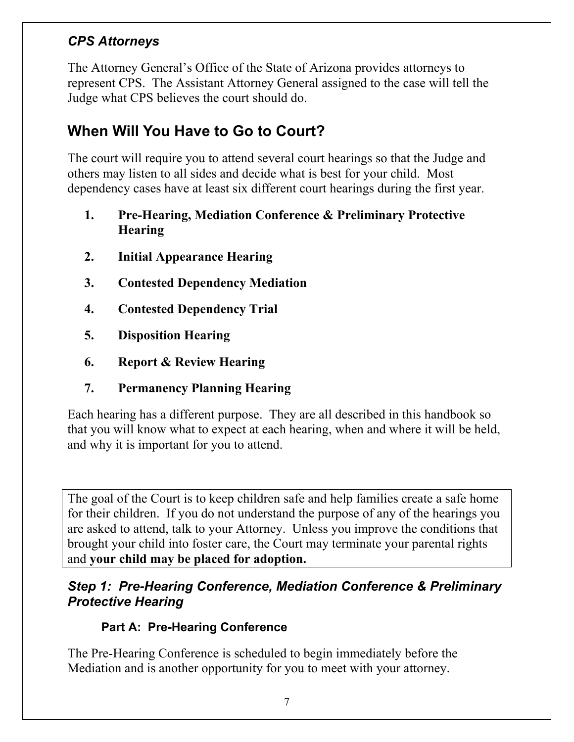## *CPS Attorneys*

The Attorney General's Office of the State of Arizona provides attorneys to represent CPS. The Assistant Attorney General assigned to the case will tell the Judge what CPS believes the court should do.

# **When Will You Have to Go to Court?**

The court will require you to attend several court hearings so that the Judge and others may listen to all sides and decide what is best for your child. Most dependency cases have at least six different court hearings during the first year.

- **1. Pre-Hearing, Mediation Conference & Preliminary Protective Hearing**
- **2. Initial Appearance Hearing**
- **3. Contested Dependency Mediation**
- **4. Contested Dependency Trial**
- **5. Disposition Hearing**
- **6. Report & Review Hearing**
- **7. Permanency Planning Hearing**

Each hearing has a different purpose. They are all described in this handbook so that you will know what to expect at each hearing, when and where it will be held, and why it is important for you to attend.

The goal of the Court is to keep children safe and help families create a safe home for their children. If you do not understand the purpose of any of the hearings you are asked to attend, talk to your Attorney. Unless you improve the conditions that brought your child into foster care, the Court may terminate your parental rights and **your child may be placed for adoption.** 

## *Step 1: Pre-Hearing Conference, Mediation Conference & Preliminary Protective Hearing*

## **Part A: Pre-Hearing Conference**

The Pre-Hearing Conference is scheduled to begin immediately before the Mediation and is another opportunity for you to meet with your attorney.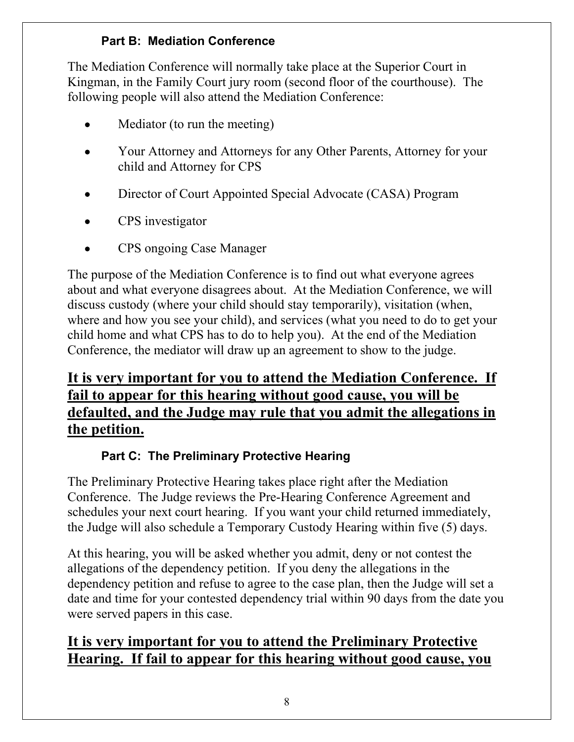## **Part B: Mediation Conference**

The Mediation Conference will normally take place at the Superior Court in Kingman, in the Family Court jury room (second floor of the courthouse). The following people will also attend the Mediation Conference:

- Mediator (to run the meeting)
- Your Attorney and Attorneys for any Other Parents, Attorney for your child and Attorney for CPS
- Director of Court Appointed Special Advocate (CASA) Program
- CPS investigator
- CPS ongoing Case Manager

The purpose of the Mediation Conference is to find out what everyone agrees about and what everyone disagrees about. At the Mediation Conference, we will discuss custody (where your child should stay temporarily), visitation (when, where and how you see your child), and services (what you need to do to get your child home and what CPS has to do to help you). At the end of the Mediation Conference, the mediator will draw up an agreement to show to the judge.

# **It is very important for you to attend the Mediation Conference. If fail to appear for this hearing without good cause, you will be defaulted, and the Judge may rule that you admit the allegations in the petition.**

## **Part C: The Preliminary Protective Hearing**

The Preliminary Protective Hearing takes place right after the Mediation Conference. The Judge reviews the Pre-Hearing Conference Agreement and schedules your next court hearing. If you want your child returned immediately, the Judge will also schedule a Temporary Custody Hearing within five (5) days.

At this hearing, you will be asked whether you admit, deny or not contest the allegations of the dependency petition. If you deny the allegations in the dependency petition and refuse to agree to the case plan, then the Judge will set a date and time for your contested dependency trial within 90 days from the date you were served papers in this case.

# **It is very important for you to attend the Preliminary Protective Hearing. If fail to appear for this hearing without good cause, you**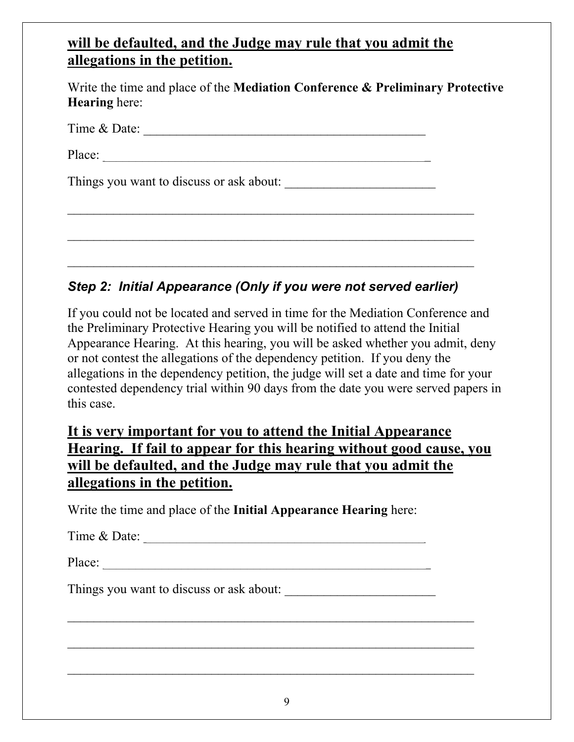## **will be defaulted, and the Judge may rule that you admit the allegations in the petition.**

Write the time and place of the **Mediation Conference & Preliminary Protective Hearing** here:

| Time & Date: |  |
|--------------|--|
|              |  |

Place: \_\_\_\_\_\_\_\_\_\_\_\_\_\_\_\_\_\_\_\_\_\_\_\_\_\_\_\_\_\_\_\_\_\_\_\_\_\_\_\_\_\_\_\_\_\_\_\_\_\_

Things you want to discuss or ask about: \_\_\_\_\_\_\_\_\_\_\_\_\_\_\_\_\_\_\_\_\_\_\_

## *Step 2: Initial Appearance (Only if you were not served earlier)*

 $\mathcal{L}_\text{max}$  , and the contract of the contract of the contract of the contract of the contract of the contract of the contract of the contract of the contract of the contract of the contract of the contract of the contr

 $\mathcal{L}_\text{max}$  , and the contribution of the contribution of the contribution of the contribution of the contribution of the contribution of the contribution of the contribution of the contribution of the contribution of t

If you could not be located and served in time for the Mediation Conference and the Preliminary Protective Hearing you will be notified to attend the Initial Appearance Hearing. At this hearing, you will be asked whether you admit, deny or not contest the allegations of the dependency petition. If you deny the allegations in the dependency petition, the judge will set a date and time for your contested dependency trial within 90 days from the date you were served papers in this case.

## **It is very important for you to attend the Initial Appearance Hearing. If fail to appear for this hearing without good cause, you will be defaulted, and the Judge may rule that you admit the allegations in the petition.**

Write the time and place of the **Initial Appearance Hearing** here:

Time & Date: \_\_\_\_\_\_\_\_\_\_\_\_\_\_\_\_\_\_\_\_\_\_\_\_\_\_\_\_\_\_\_\_\_\_\_\_\_\_\_\_\_\_\_

Place:

Things you want to discuss or ask about:

 $\mathcal{L}_\text{max}$  , and the contract of the contract of the contract of the contract of the contract of the contract of the contract of the contract of the contract of the contract of the contract of the contract of the contr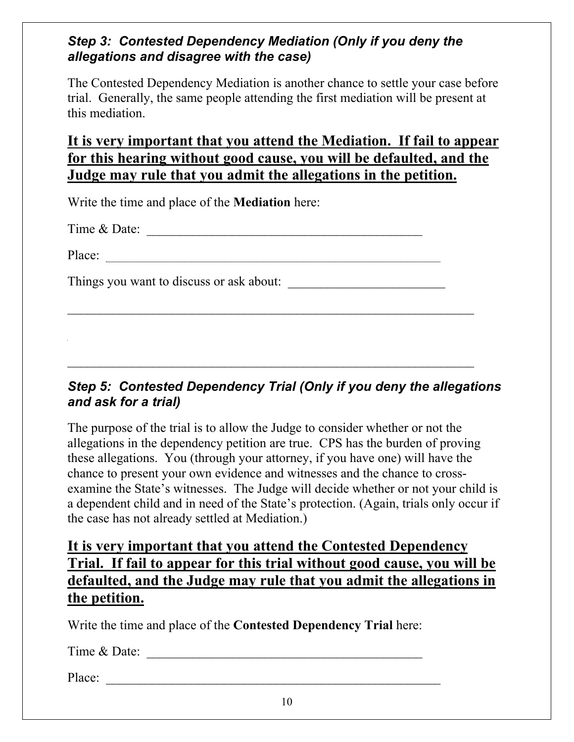## *Step 3: Contested Dependency Mediation (Only if you deny the allegations and disagree with the case)*

The Contested Dependency Mediation is another chance to settle your case before trial. Generally, the same people attending the first mediation will be present at this mediation.

## **It is very important that you attend the Mediation. If fail to appear for this hearing without good cause, you will be defaulted, and the Judge may rule that you admit the allegations in the petition.**

Write the time and place of the **Mediation** here:

 $Time \& Date:$ 

Place:

Things you want to discuss or ask about:

### *Step 5: Contested Dependency Trial (Only if you deny the allegations and ask for a trial)*

 $\mathcal{L}_\text{max}$  , and the contribution of the contribution of the contribution of the contribution of the contribution of the contribution of the contribution of the contribution of the contribution of the contribution of t

 $\mathcal{L}_\text{max}$  , and the contribution of the contribution of the contribution of the contribution of the contribution of the contribution of the contribution of the contribution of the contribution of the contribution of t

The purpose of the trial is to allow the Judge to consider whether or not the allegations in the dependency petition are true. CPS has the burden of proving these allegations. You (through your attorney, if you have one) will have the chance to present your own evidence and witnesses and the chance to crossexamine the State's witnesses. The Judge will decide whether or not your child is a dependent child and in need of the State's protection. (Again, trials only occur if the case has not already settled at Mediation.)

## **It is very important that you attend the Contested Dependency Trial. If fail to appear for this trial without good cause, you will be defaulted, and the Judge may rule that you admit the allegations in the petition.**

Write the time and place of the **Contested Dependency Trial** here:

Time & Date:

Place: \_\_\_\_\_\_\_\_\_\_\_\_\_\_\_\_\_\_\_\_\_\_\_\_\_\_\_\_\_\_\_\_\_\_\_\_\_\_\_\_\_\_\_\_\_\_\_\_\_\_\_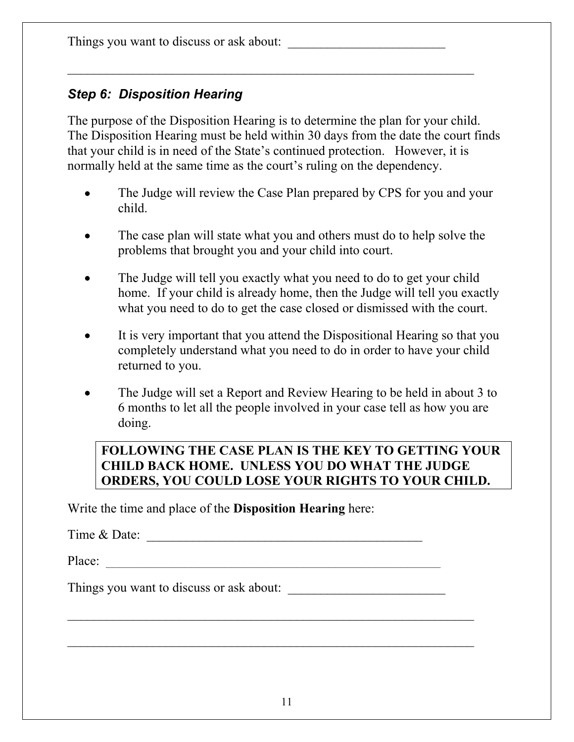Things you want to discuss or ask about: \_\_\_\_\_\_\_\_\_\_\_\_\_\_\_\_\_\_\_\_\_\_\_\_

## *Step 6: Disposition Hearing*

The purpose of the Disposition Hearing is to determine the plan for your child. The Disposition Hearing must be held within 30 days from the date the court finds that your child is in need of the State's continued protection. However, it is normally held at the same time as the court's ruling on the dependency.

- The Judge will review the Case Plan prepared by CPS for you and your child.
- The case plan will state what you and others must do to help solve the problems that brought you and your child into court.
- The Judge will tell you exactly what you need to do to get your child home. If your child is already home, then the Judge will tell you exactly what you need to do to get the case closed or dismissed with the court.
- It is very important that you attend the Dispositional Hearing so that you completely understand what you need to do in order to have your child returned to you.
- The Judge will set a Report and Review Hearing to be held in about 3 to 6 months to let all the people involved in your case tell as how you are doing.

### **FOLLOWING THE CASE PLAN IS THE KEY TO GETTING YOUR CHILD BACK HOME. UNLESS YOU DO WHAT THE JUDGE ORDERS, YOU COULD LOSE YOUR RIGHTS TO YOUR CHILD.**

Write the time and place of the **Disposition Hearing** here:

Time  $\&$  Date:

Place: \_\_\_\_\_\_\_\_\_\_\_\_\_\_\_\_\_\_\_\_\_\_\_\_\_\_\_\_\_\_\_\_\_\_\_\_\_\_\_\_\_\_\_\_\_\_\_\_\_\_\_

Things you want to discuss or ask about:

 $\mathcal{L}_\text{max}$  , and the contribution of the contribution of the contribution of the contribution of the contribution of the contribution of the contribution of the contribution of the contribution of the contribution of t

 $\mathcal{L}_\text{max}$  , and the contribution of the contribution of the contribution of the contribution of the contribution of the contribution of the contribution of the contribution of the contribution of the contribution of t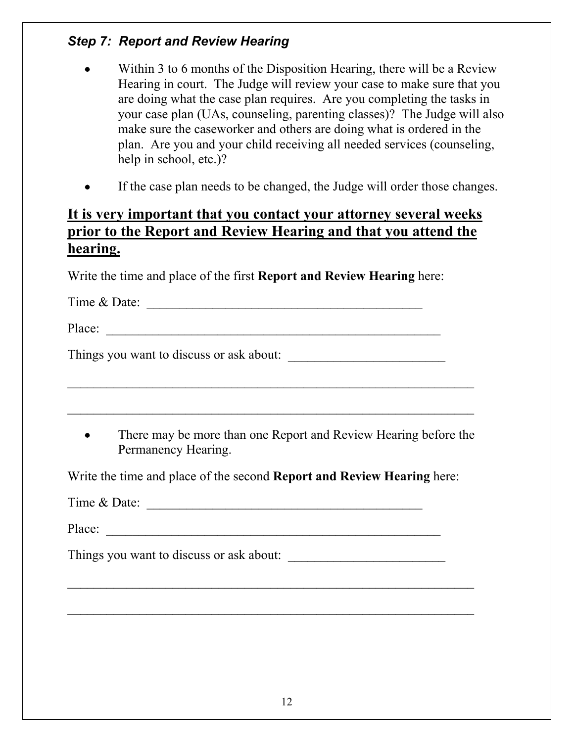## *Step 7: Report and Review Hearing*

- Within 3 to 6 months of the Disposition Hearing, there will be a Review Hearing in court. The Judge will review your case to make sure that you are doing what the case plan requires. Are you completing the tasks in your case plan (UAs, counseling, parenting classes)? The Judge will also make sure the caseworker and others are doing what is ordered in the plan. Are you and your child receiving all needed services (counseling, help in school, etc.)?
- If the case plan needs to be changed, the Judge will order those changes.

## **It is very important that you contact your attorney several weeks prior to the Report and Review Hearing and that you attend the hearing.**

Write the time and place of the first **Report and Review Hearing** here:

Time  $\&$  Date:

Place: \_\_\_\_\_\_\_\_\_\_\_\_\_\_\_\_\_\_\_\_\_\_\_\_\_\_\_\_\_\_\_\_\_\_\_\_\_\_\_\_\_\_\_\_\_\_\_\_\_\_\_

Things you want to discuss or ask about: \_\_\_\_\_\_\_\_\_\_\_\_\_\_\_\_\_\_\_\_\_\_\_\_

• There may be more than one Report and Review Hearing before the Permanency Hearing.

 $\mathcal{L}_\text{max}$  , and the contribution of the contribution of the contribution of the contribution of the contribution of the contribution of the contribution of the contribution of the contribution of the contribution of t

 $\mathcal{L}_\text{max}$  , and the contribution of the contribution of the contribution of the contribution of the contribution of the contribution of the contribution of the contribution of the contribution of the contribution of t

Write the time and place of the second **Report and Review Hearing** here:

Time & Date:

Place:

Things you want to discuss or ask about:

 $\mathcal{L}_\text{max}$  , and the contract of the contract of the contract of the contract of the contract of the contract of the contract of the contract of the contract of the contract of the contract of the contract of the contr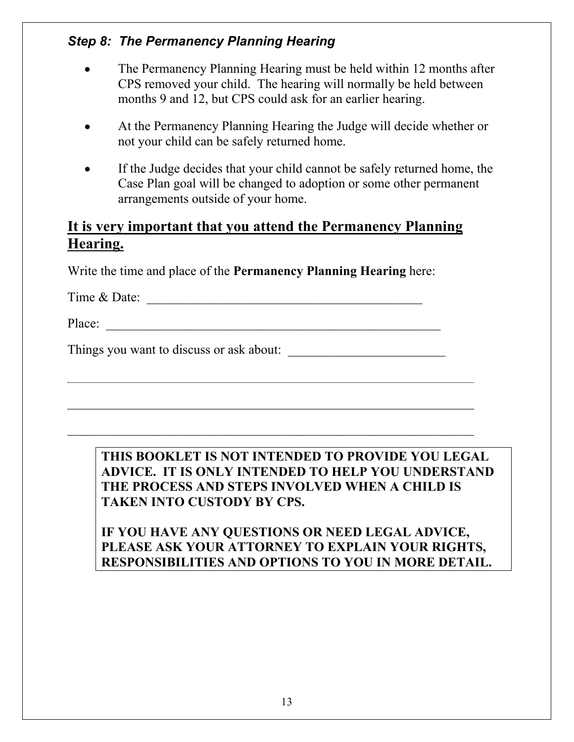## *Step 8: The Permanency Planning Hearing*

- The Permanency Planning Hearing must be held within 12 months after CPS removed your child. The hearing will normally be held between months 9 and 12, but CPS could ask for an earlier hearing.
- At the Permanency Planning Hearing the Judge will decide whether or not your child can be safely returned home.
- If the Judge decides that your child cannot be safely returned home, the Case Plan goal will be changed to adoption or some other permanent arrangements outside of your home.

## **It is very important that you attend the Permanency Planning Hearing.**

 $\mathcal{L}_\text{max} = \frac{1}{2} \sum_{i=1}^n \mathcal{L}_\text{max}(\mathbf{z}_i - \mathbf{z}_i)$ 

 $\mathcal{L}_\text{max}$  , and the contract of the contract of the contract of the contract of the contract of the contract of the contract of the contract of the contract of the contract of the contract of the contract of the contr

Write the time and place of the **Permanency Planning Hearing** here:

 $Time & Date:$ 

Place:

Things you want to discuss or ask about:

### **THIS BOOKLET IS NOT INTENDED TO PROVIDE YOU LEGAL ADVICE. IT IS ONLY INTENDED TO HELP YOU UNDERSTAND THE PROCESS AND STEPS INVOLVED WHEN A CHILD IS TAKEN INTO CUSTODY BY CPS.**

### **IF YOU HAVE ANY QUESTIONS OR NEED LEGAL ADVICE, PLEASE ASK YOUR ATTORNEY TO EXPLAIN YOUR RIGHTS, RESPONSIBILITIES AND OPTIONS TO YOU IN MORE DETAIL.**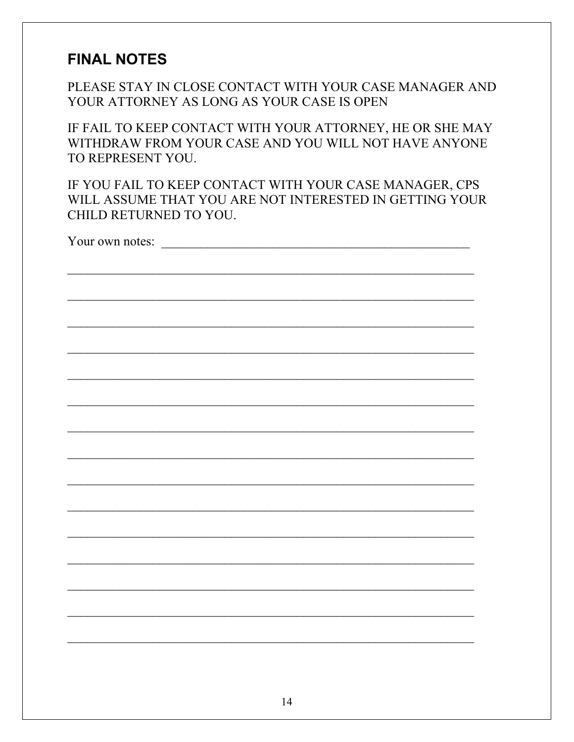# **FINAL NOTES**

PLEASE STAY IN CLOSE CONTACT WITH YOUR CASE MANAGER AND YOUR ATTORNEY AS LONG AS YOUR CASE IS OPEN

IF FAIL TO KEEP CONTACT WITH YOUR ATTORNEY, HE OR SHE MAY WITHDRAW FROM YOUR CASE AND YOU WILL NOT HAVE ANYONE TO REPRESENT YOU.

IF YOU FAIL TO KEEP CONTACT WITH YOUR CASE MANAGER, CPS WILL ASSUME THAT YOU ARE NOT INTERESTED IN GETTING YOUR CHILD RETURNED TO YOU.

Your own notes:

 $14$